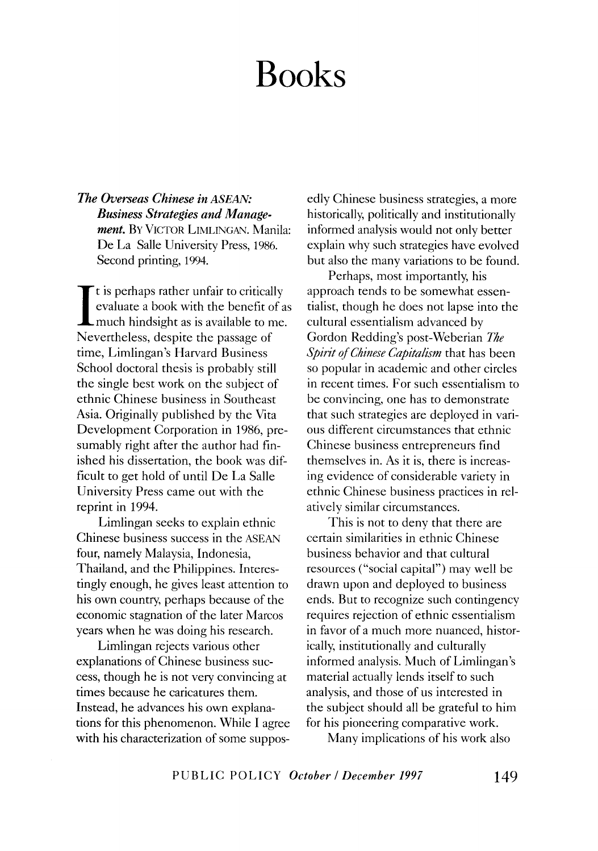*The Overseas Chinese in ASEAN: Business Strategies and Management.* BY VICTOR LIMLINGAN. Manila: De La Salle University Press, 1986. Second printing, 1994.

It is perhaps rather unfair to critically<br>evaluate a book with the benefit of a<br>much hindsight as is available to me. evaluate a book with the benefit of as I much hindsight as is available to me. Nevertheless, despite the passage of time, Limlingan's Harvard Business School doctoral thesis is probably still the single best work on the subject of ethnic Chinese business in Southeast Asia. Originally published by the Vita Development Corporation in 1986, presumably right after the author had finished his dissertation, the book was difficult to get hold of until De La Salle University Press came out with the reprint in 1994.

Limlingan seeks to explain ethnic Chinese business success in the ASEAN four, namely Malaysia, Indonesia, Thailand, and the Philippines. Interestingly enough, he gives least attention to his own country, perhaps because of the economic stagnation of the later Marcos years when he was doing his research.

Limlingan rejects various other explanations of Chinese business success, though he is not very convincing at times because he caricatures them. Instead, he advances his own explanations for this phenomenon. While I agree with his characterization of some supposedly Chinese business strategies, a more historically, politically and institutionally informed analysis would not only better explain why such strategies have evolved but also the many variations to be found.

Perhaps, most importantly, his approach tends to be somewhat essentialist, though he does not lapse into the cultural essentialism advanced by Gordon Redding's post-Weberian *The Spirit of Chinese Capitalism* that has been so popular in academic and other circles in recent times. For such essentialism to be convincing, one has to demonstrate that such strategies are deployed in various different circumstances that ethnic Chinese business entrepreneurs find themselves in. As it is, there is increasing evidence of considerable variety in ethnic Chinese business practices in relatively similar circumstances.

This is not to deny that there are certain similarities in ethnic Chinese business behavior and that cultural resources ("social capital") may well be drawn upon and deployed to business ends. But to recognize such contingency requires rejection of ethnic essentialism in favor of a much more nuanced, historically, institutionally and culturally informed analysis. Much of Limlingan's material actually lends itself to such analysis, and those of us interested in the subject should all be grateful to him for his pioneering comparative work.

Many implications of his work also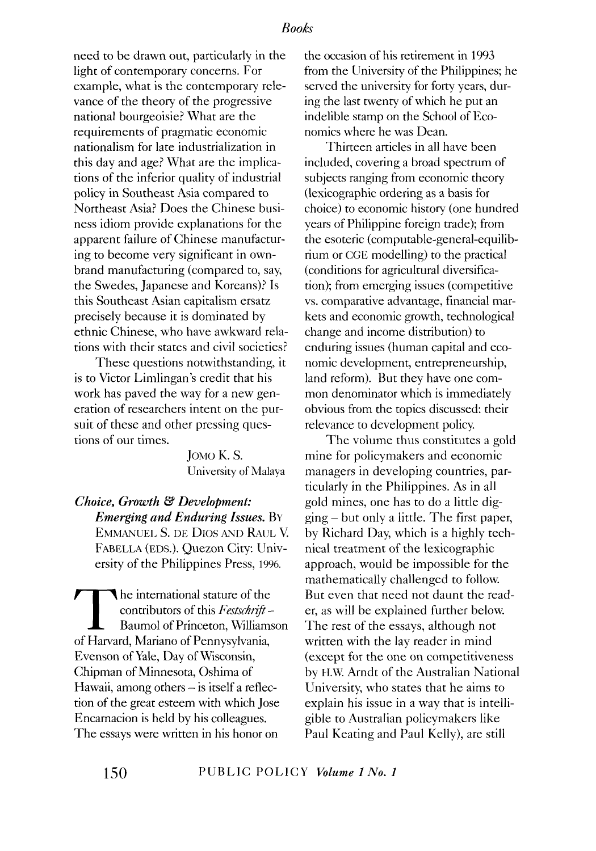need to be drawn out, particularly in the light of contemporary concerns. For example, what is the contemporary relevance of the theory of the progressive national bourgeoisie? What are the requirements of pragmatic economic nationalism for late industrialization in this day and age? What are the implications of the inferior quality of industrial policy in Southeast Asia compared to Northeast Asia? Does the Chinese business idiom provide explanations for the apparent failure of Chinese manufacturing to become very significant in ownbrand manufacturing (compared to, say, the Swedes, Japanese and Koreans)? Is this Southeast Asian capitalism ersatz precisely because it is dominated by ethnic Chinese, who have awkward relations with their states and civil societies?

These questions notwithstanding, it is to Victor Limlingan's credit that his work has paved the way for a new generation of researchers intent on the pursuit of these and other pressing questions of our times.

> JoMo K. S. University of Malaya

*Choice, Growth* & *Development: Emerging and Enduring Issues.* BY EMMANUEL S. DE DIOS AND RAUL V. FABELLA (EDS.). Quezon City: University of the Philippines Press, 1996.

The international stature of the<br>contributors of this Festschrift -<br>Baumol of Princeton, Williams<br>of Harvard Mariano of Pennysylvania contributors of this *Festschrift-*Baumol of Princeton, Williamson of Harvard, Mariano of Pennysylvania, Evenson of Yale, Day of Wisconsin, Chipman of Minnesota, Oshima of Hawaii, among others  $-$  is itself a reflection of the great esteem with which Jose Encarnacion is held by his colleagues. The essays were written in his honor on

the occasion of his retirement in 1993 from the University of the Philippines; he served the university for forty years, during the last twenty of which he put an indelible stamp on the School of Economics where he was Dean.

Thirteen articles in all have been included, covering a broad spectrum of subjects ranging from economic theory (lexicographic ordering as a basis for choice) to economic history (one hundred years of Philippine foreign trade); from the esoteric (computable-general-equilibrium or CGE modelling) to the practical (conditions for agricultural diversification); from emerging issues (competitive vs. comparative advantage, financial markets and economic growth, technological change and income distribution) to enduring issues (human capital and economic development, entrepreneurship, land reform). But they have one common denominator which is immediately obvious from the topics discussed: their relevance to development policy.

The volume thus constitutes a gold mine for policymakers and economic managers in developing countries, particularly in the Philippines. As in all gold mines, one has to do a little digging- but only a little. The first paper, by Richard Day, which is a highly technical treatment of the lexicographic approach, would be impossible for the mathematically challenged to follow. But even that need not daunt the reader, as will be explained further below. The rest of the essays, although not written with the lay reader in mind (except for the one on competitiveness by H.W. Arndt of the Australian National University, who states that he aims to explain his issue in a way that is intelligible to Australian policymakers like Paul Keating and Paul Kelly), are still

**150** PUBLIC POLICY *Volume 1 No.1*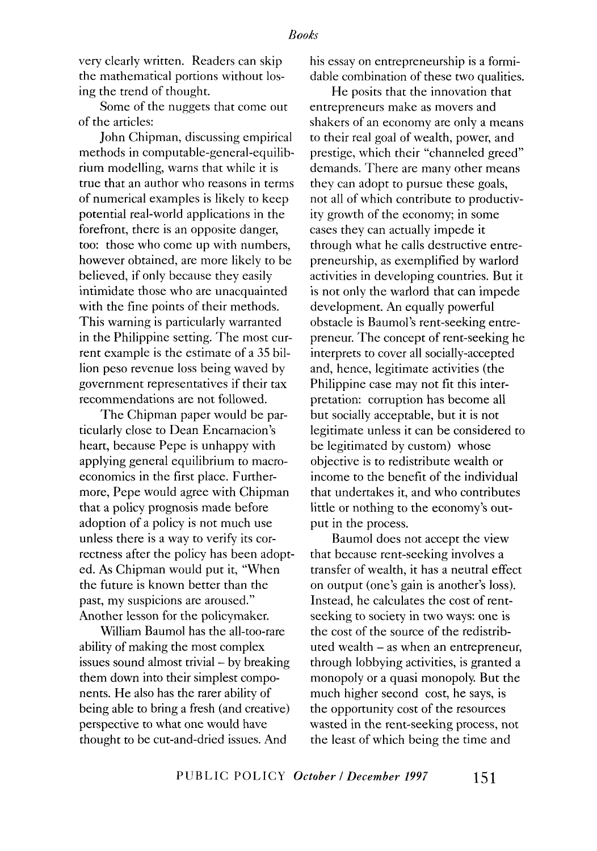very clearly written. Readers can skip the mathematical portions without losing the trend of thought.

Some of the nuggets that come out of the articles:

John Chipman, discussing empirical methods in computable-general-equilibrium modelling, warns that while it is true that an author who reasons in terms of numerical examples is likely to keep potential real-world applications in the forefront, there is an opposite danger, too: those who come up with numbers, however obtained, are more likely to be believed, if only because they easily intimidate those who are unacquainted with the fine points of their methods. This warning is particularly warranted in the Philippine setting. The most current example is the estimate of a 35 billion peso revenue loss being waved by government representatives if their tax recommendations are not followed.

The Chipman paper would be particularly close to Dean Encarnacion's heart, because Pepe is unhappy with applying general equilibrium to macroeconomics in the first place. Furthermore, Pepe would agree with Chipman that a policy prognosis made before adoption of a policy is not much use unless there is a way to verify its correctness after the policy has been adopted. As Chipman would put it, "When the future is known better than the past, my suspicions are aroused." Another lesson for the policymaker.

William Baumol has the all-too-rare ability of making the most complex issues sound almost trivial - by breaking them down into their simplest components. He also has the rarer ability of being able to bring a fresh (and creative) perspective to what one would have thought to be cut-and-dried issues. And

his essay on entrepreneurship is a formidable combination of these two qualities.

He posits that the innovation that entrepreneurs make as movers and shakers of an economy are only a means to their real goal of wealth, power, and prestige, which their "channeled greed" demands. There are many other means they can adopt to pursue these goals, not all of which contribute to productivity growth of the economy; in some cases they can actually impede it through what he calls destructive entrepreneurship, as exemplified by warlord activities in developing countries. But it is not only the warlord that can impede development. An equally powerful obstacle is Baumol's rent-seeking entrepreneur. The concept of rent-seeking he interprets to cover all socially-accepted and, hence, legitimate activities (the Philippine case may not fit this interpretation: corruption has become all but socially acceptable, but it is not legitimate unless it can be considered to be legitimated by custom) whose objective is to redistribute wealth or income to the benefit of the individual that undertakes it, and who contributes little or nothing to the economy's output in the process.

Baumol does not accept the view that because rent-seeking involves a transfer of wealth, it has a neutral effect on output (one's gain is another's loss). Instead, he calculates the cost of rentseeking to society in two ways: one is the cost of the source of the redistributed wealth - as when an entrepreneur, through lobbying activities, is granted a monopoly or a quasi monopoly. But the much higher second cost, he says, is the opportunity cost of the resources wasted in the rent-seeking process, not the least of which being the time and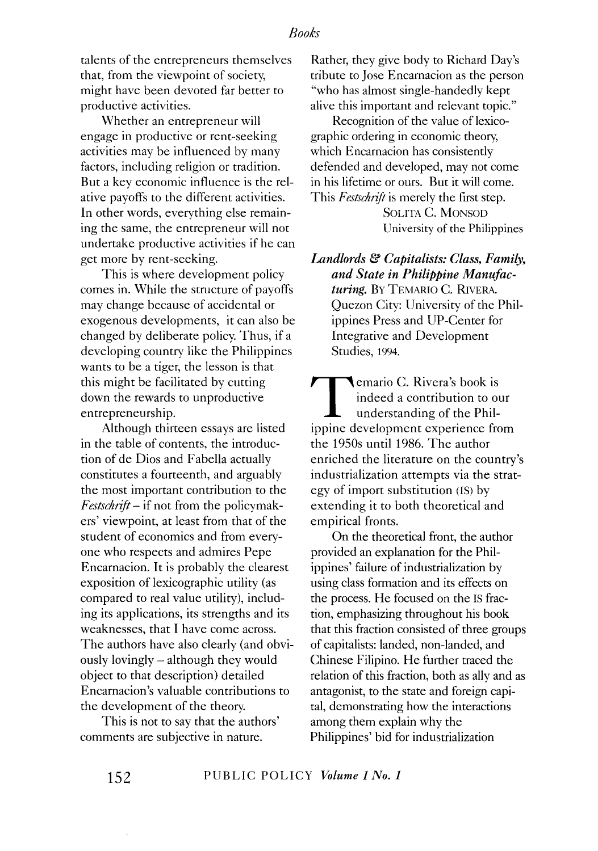talents of the entrepreneurs themselves that, from the viewpoint of society, might have been devoted far better to productive activities.

Whether an entrepreneur will engage in productive or rent-seeking activities may be influenced by many factors, including religion or tradition. But a key economic influence is the relative payoffs to the different activities. In other words, everything else remaining the same, the entrepreneur will not undertake productive activities if he can get more by rent-seeking.

This is where development policy comes in. While the structure of payoffs may change because of accidental or exogenous developments, it can also be changed by deliberate policy. Thus, if a developing country like the Philippines wants to be a tiger, the lesson is that this might be facilitated by cutting down the rewards to unproductive entrepreneurship.

Although thirteen essays are listed in the table of contents, the introduction of de Dios and Fabella actually constitutes a fourteenth, and arguably the most important contribution to the *Festschrift-* if not from the policymakers' viewpoint, at least from that of the student of economics and from everyone who respects and admires Pepe Encarnacion. It is probably the clearest exposition of lexicographic utility (as compared to real value utility), including its applications, its strengths and its weaknesses, that I have come across. The authors have also clearly (and obviously lovingly - although they would object to that description) detailed Encarnacion's valuable contributions to the development of the theory.

This is not to say that the authors' comments are subjective in nature.

Rather, they give body to Richard Day's tribute to Jose Encarnacion as the person "who has almost single-handedly kept alive this important and relevant topic."

Recognition of the value of lexicographic ordering in economic theory, which Encarnacion has consistently defended and developed, may not come in his lifetime or ours. But it will come. This *Festschrift* is merely the first step.

> SOLITA C. MONSOD University of the Philippines

*Landlords* & *Capitalists: Class. Family. and State in Philippine Manufacturing.* BY TEMARIO C. RIVERA. Quezon City: University of the Philippines Press and UP-Center for Integrative and Development Studies, 1994.

**T** emario C. Rivera's book is<br>indeed a contribution to of<br>understanding of the Phil-<br>innine development experience from indeed a contribution to our understanding of the Philippine development experience from the 1950s until 1986. The author enriched the literature on the country's industrialization attempts via the strategy of import substitution (IS) by extending it to both theoretical and empirical fronts.

On the theoretical front, the author provided an explanation for the Philippines' failure of industrialization by using class formation and its effects on the process. He focused on the IS fraction, emphasizing throughout his book that this fraction consisted of three groups of capitalists: landed, non-landed, and Chinese Filipino. He further traced the relation of this fraction, both as ally and as antagonist, to the state and foreign capital, demonstrating how the interactions among them explain why the Philippines' bid for industrialization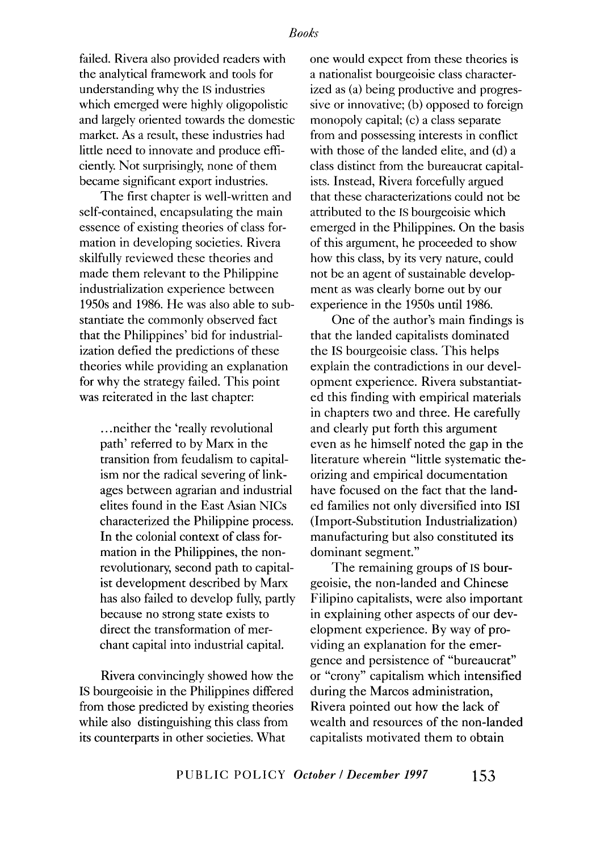failed. Rivera also provided readers with the analytical framework and tools for understanding why the IS industries which emerged were highly oligopolistic and largely oriented towards the domestic market. As a result, these industries had little need to innovate and produce efficiently. Not surprisingly, none of them became significant export industries.

The first chapter is well-written and self-contained, encapsulating the main essence of existing theories of class formation in developing societies. Rivera skilfully reviewed these theories and made them relevant to the Philippine industrialization experience between 1950s and 1986. He was also able to substantiate the commonly observed fact that the Philippines' bid for industrialization defied the predictions of these theories while providing an explanation for why the strategy failed. This point was reiterated in the last chapter:

... neither the 'really revolutional path' referred to by Marx in the transition from feudalism to capitalism nor the radical severing of linkages between agrarian and industrial elites found in the East Asian NICs characterized the Philippine process. In the colonial context of class formation in the Philippines, the nonrevolutionary, second path to capitalist development described by Marx has also failed to develop fully, partly because no strong state exists to direct the transformation of merchant capital into industrial capital.

Rivera convincingly showed how the IS bourgeoisie in the Philippines differed from those predicted by existing theories while also distinguishing this class from its counterparts in other societies. What

one would expect from these theories is a nationalist bourgeoisie class characterized as (a) being productive and progressive or innovative; (b) opposed to foreign monopoly capital; (c) a class separate from and possessing interests in conflict with those of the landed elite, and (d) a class distinct from the bureaucrat capitalists. Instead, Rivera forcefully argued that these characterizations could not be attributed to the IS bourgeoisie which emerged in the Philippines. On the basis of this argument, he proceeded to show how this class, by its very nature, could not be an agent of sustainable development as was clearly borne out by our experience in the 1950s until 1986.

One of the author's main findings is that the landed capitalists dominated the IS bourgeoisie class. This helps explain the contradictions in our development experience. Rivera substantiated this finding with empirical materials in chapters two and three. He carefully and clearly put forth this argument even as he himself noted the gap in the literature wherein "little systematic theorizing and empirical documentation have focused on the fact that the landed families not only diversified into lSI (Import-Substitution Industrialization) manufacturing but also constituted its dominant segment."

The remaining groups of IS bourgeoisie, the non-landed and Chinese Filipino capitalists, were also important in explaining other aspects of our development experience. By way of providing an explanation for the emergence and persistence of "bureaucrat" or "crony" capitalism which intensified during the Marcos administration, Rivera pointed out how the lack of wealth and resources of the non-landed capitalists motivated them to obtain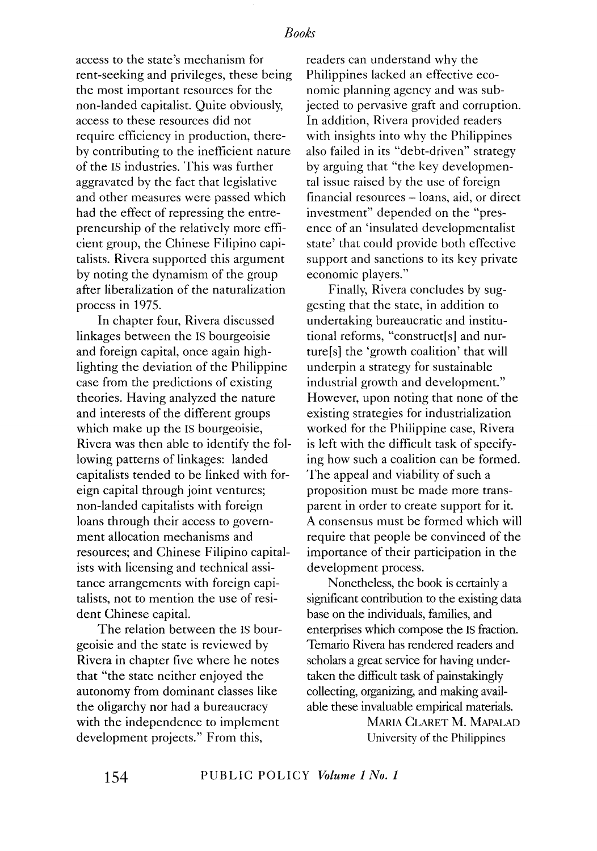access to the state's mechanism for rent-seeking and privileges, these being the most important resources for the non-landed capitalist. Quite obviously, access to these resources did not require efficiency in production, thereby contributing to the inefficient nature of the IS industries. This was further aggravated by the fact that legislative and other measures were passed which had the effect of repressing the entrepreneurship of the relatively more efficient group, the Chinese Filipino capitalists. Rivera supported this argument by noting the dynamism of the group after liberalization of the naturalization process in 1975.

In chapter four, Rivera discussed linkages between the IS bourgeoisie and foreign capital, once again highlighting the deviation of the Philippine case from the predictions of existing theories. Having analyzed the nature and interests of the different groups which make up the IS bourgeoisie, Rivera was then able to identify the following patterns of linkages: landed capitalists tended to be linked with foreign capital through joint ventures; non-landed capitalists with foreign loans through their access to government allocation mechanisms and resources; and Chinese Filipino capitalists with licensing and technical assitance arrangements with foreign capitalists, not to mention the use of resident Chinese capital.

The relation between the IS bourgeoisie and the state is reviewed by Rivera in chapter five where he notes that "the state neither enjoyed the autonomy from dominant classes like the oligarchy nor had a bureaucracy with the independence to implement development projects." From this,

readers can understand why the Philippines lacked an effective economic planning agency and was subjected to pervasive graft and corruption. In addition, Rivera provided readers with insights into why the Philippines also failed in its "debt-driven" strategy by arguing that "the key developmental issue raised by the use of foreign financial resources - loans, aid, or direct investment" depended on the "presence of an 'insulated developmentalist state' that could provide both effective support and sanctions to its key private economic players."

Finally, Rivera concludes by suggesting that the state, in addition to undertaking bureaucratic and institutional reforms, "construct[s] and nurture[s] the 'growth coalition' that will underpin a strategy for sustainable industrial growth and development." However, upon noting that none of the existing strategies for industrialization worked for the Philippine case, Rivera is left with the difficult task of specifying how such a coalition can be formed. The appeal and viability of such a proposition must be made more transparent in order to create support for it. A consensus must be formed which will require that people be convinced of the importance of their participation in the development process.

Nonetheless, the book is certainly a significant contribution to the existing data base on the individuals, families, and enterprises which compose the IS fraction. Temario Rivera has rendered readers and scholars a great service for having undertaken the difficult task of painstakingly collecting, organizing, and making available these invaluable empirical materials.

> MARIA CLARET M. MAPALAD University of the Philippines